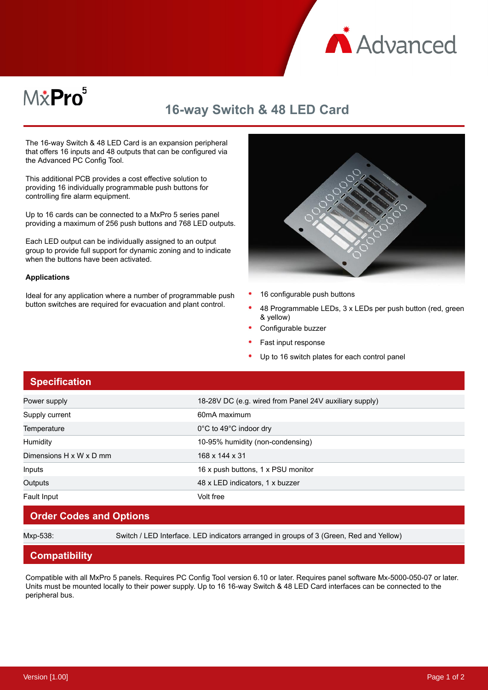

# M*\**Pro<sup>5</sup>

## **16-way Switch & 48 LED Card**

The 16-way Switch & 48 LED Card is an expansion peripheral that offers 16 inputs and 48 outputs that can be configured via the Advanced PC Config Tool.

This additional PCB provides a cost effective solution to providing 16 individually programmable push buttons for controlling fire alarm equipment.

Up to 16 cards can be connected to a MxPro 5 series panel providing a maximum of 256 push buttons and 768 LED outputs.

Each LED output can be individually assigned to an output group to provide full support for dynamic zoning and to indicate when the buttons have been activated.

#### **Applications**

Ideal for any application where a number of programmable push button switches are required for evacuation and plant control.



- 16 configurable push buttons
- 48 Programmable LEDs, 3 x LEDs per push button (red, green & yellow)
- Configurable buzzer
- Fast input response
- Up to 16 switch plates for each control panel

### **Specification**

| Power supply            | 18-28V DC (e.g. wired from Panel 24V auxiliary supply) |
|-------------------------|--------------------------------------------------------|
| Supply current          | 60mA maximum                                           |
| Temperature             | $0^{\circ}$ C to 49 $^{\circ}$ C indoor dry            |
| Humidity                | 10-95% humidity (non-condensing)                       |
| Dimensions H x W x D mm | 168 x 144 x 31                                         |
| Inputs                  | 16 x push buttons, 1 x PSU monitor                     |
| Outputs                 | 48 x LED indicators, 1 x buzzer                        |
| Fault Input             | Volt free                                              |

### **Order Codes and Options**

Mxp-538: Switch / LED Interface. LED indicators arranged in groups of 3 (Green, Red and Yellow)

### **Compatibility**

Compatible with all MxPro 5 panels. Requires PC Config Tool version 6.10 or later. Requires panel software Mx-5000-050-07 or later. Units must be mounted locally to their power supply. Up to 16 16-way Switch & 48 LED Card interfaces can be connected to the peripheral bus.